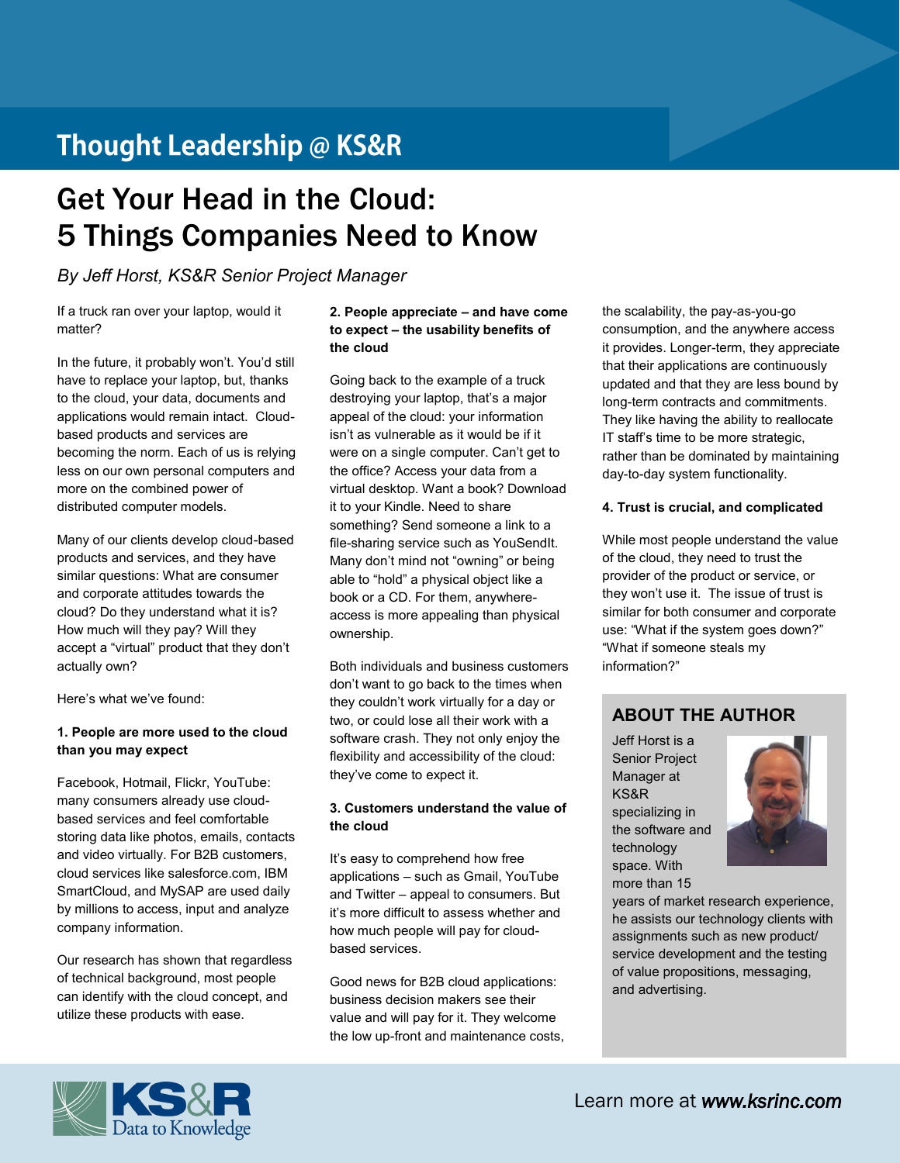# Thought Leadership @ KS&R

# Get Your Head in the Cloud: 5 Things Companies Need to Know

*By Jeff Horst, KS&R Senior Project Manager*

If a truck ran over your laptop, would it matter?

In the future, it probably won't. You'd still have to replace your laptop, but, thanks to the cloud, your data, documents and applications would remain intact. Cloudbased products and services are becoming the norm. Each of us is relying less on our own personal computers and more on the combined power of distributed computer models.

Many of our clients develop cloud-based products and services, and they have similar questions: What are consumer and corporate attitudes towards the cloud? Do they understand what it is? How much will they pay? Will they accept a "virtual" product that they don't actually own?

Here's what we've found:

#### **1. People are more used to the cloud than you may expect**

Facebook, Hotmail, Flickr, YouTube: many consumers already use cloudbased services and feel comfortable storing data like photos, emails, contacts and video virtually. For B2B customers, cloud services like salesforce.com, IBM SmartCloud, and MySAP are used daily by millions to access, input and analyze company information.

Our research has shown that regardless of technical background, most people can identify with the cloud concept, and utilize these products with ease.

#### **2. People appreciate – and have come to expect – the usability benefits of the cloud**

Going back to the example of a truck destroying your laptop, that's a major appeal of the cloud: your information isn't as vulnerable as it would be if it were on a single computer. Can't get to the office? Access your data from a virtual desktop. Want a book? Download it to your Kindle. Need to share something? Send someone a link to a file-sharing service such as YouSendIt. Many don't mind not "owning" or being able to "hold" a physical object like a book or a CD. For them, anywhereaccess is more appealing than physical ownership.

Both individuals and business customers don't want to go back to the times when they couldn't work virtually for a day or two, or could lose all their work with a software crash. They not only enjoy the flexibility and accessibility of the cloud: they've come to expect it.

#### **3. Customers understand the value of the cloud**

It's easy to comprehend how free applications – such as Gmail, YouTube and Twitter – appeal to consumers. But it's more difficult to assess whether and how much people will pay for cloudbased services.

Good news for B2B cloud applications: business decision makers see their value and will pay for it. They welcome the low up-front and maintenance costs,

the scalability, the pay-as-you-go consumption, and the anywhere access it provides. Longer-term, they appreciate that their applications are continuously updated and that they are less bound by long-term contracts and commitments. They like having the ability to reallocate IT staff's time to be more strategic, rather than be dominated by maintaining day-to-day system functionality.

#### **4. Trust is crucial, and complicated**

While most people understand the value of the cloud, they need to trust the provider of the product or service, or they won't use it. The issue of trust is similar for both consumer and corporate use: "What if the system goes down?" "What if someone steals my information?"

### **ABOUT THE AUTHOR**

Jeff Horst is a Senior Project Manager at KS&R specializing in the software and technology space. With more than 15



years of market research experience, he assists our technology clients with assignments such as new product/ service development and the testing of value propositions, messaging, and advertising.